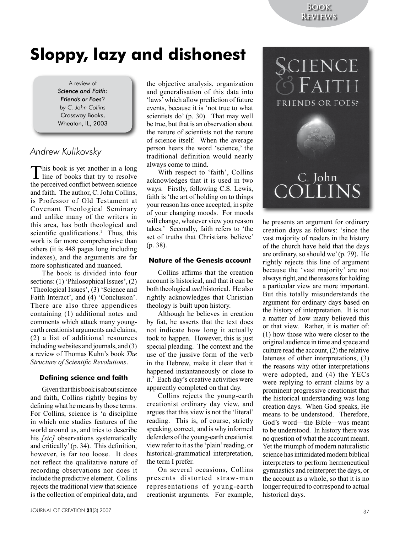# **Sloppy, lazy and dishonest**

A review of *Science and Faith: Friends or Foes*? *by C. John Collins* Crossway Books, Wheaton, IL, 2003

## *Andrew Kulikovsky*

This book is yet another in a long<br>line of books that try to resolve the perceived conflict between science and faith. The author, C. John Collins, is Professor of Old Testament at Covenant Theological Seminary and unlike many of the writers in this area, has both theological and scientific qualifications.<sup>1</sup> Thus, this work is far more comprehensive than others (it is 448 pages long including indexes), and the arguments are far more sophisticated and nuanced.

The book is divided into four sections: (1) 'Philosophical Issues', (2) 'Theological Issues', (3) 'Science and Faith Interact', and (4) 'Conclusion'. There are also three appendices containing (1) additional notes and comments which attack many youngearth creationist arguments and claims, (2) a list of additional resources including websites and journals, and (3) a review of Thomas Kuhn's book *The Structure of Scientific Revolutions*.

## **Defining science and faith**

Given that this book is about science and faith, Collins rightly begins by defining what he means by those terms. For Collins, science is 'a discipline in which one studies features of the world around us, and tries to describe his *[sic]* observations systematically and critically' (p. 34). This definition, however, is far too loose. It does not reflect the qualitative nature of recording observations nor does it include the predictive element. Collins rejects the traditional view that science is the collection of empirical data, and

the objective analysis, organization and generalisation of this data into 'laws' which allow prediction of future events, because it is 'not true to what scientists do' (p. 30). That may well be true, but that is an observation about the nature of scientists not the nature of science itself. When the average person hears the word 'science,' the traditional definition would nearly always come to mind.

With respect to 'faith', Collins acknowledges that it is used in two ways. Firstly, following C.S. Lewis, faith is 'the art of holding on to things your reason has once accepted, in spite of your changing moods. For moods will change, whatever view you reason takes.' Secondly, faith refers to 'the set of truths that Christians believe' (p. 38).

## **Nature of the Genesis account**

Collins affirms that the creation account is historical, and that it can be both theological *and* historical. He also rightly acknowledges that Christian theology is built upon history.

Although he believes in creation by fiat, he asserts that the text does not indicate how long it actually took to happen. However, this is just special pleading. The context and the use of the jussive form of the verb in the Hebrew, make it clear that it happened instantaneously or close to it.2 Each day's creative activities were apparently completed on that day.

Collins rejects the young-earth creationist ordinary day view, and argues that this view is not the 'literal' reading. This is, of course, strictly speaking, correct, and is why informed defenders of the young-earth creationist view refer to it as the 'plain' reading, or historical-grammatical interpretation, the term I prefer.

On several occasions, Collins presents distorted straw-man representations of young-earth creationist arguments. For example,



he presents an argument for ordinary creation days as follows: 'since the vast majority of readers in the history of the church have held that the days are ordinary, so should we' (p. 79). He rightly rejects this line of argument because the 'vast majority' are not always right, and the reasons for holding a particular view are more important. But this totally misunderstands the argument for ordinary days based on the history of interpretation. It is not a matter of how many believed this or that view. Rather, it is matter of: (1) how those who were closer to the original audience in time and space and culture read the account, (2) the relative lateness of other interpretations, (3) the reasons why other interpretations were adopted, and (4) the YECs were replying to errant claims by a prominent progressive creationist that the historical understanding was long creation days. When God speaks, He means to be understood. Therefore, God's word—the Bible—was meant to be understood. In history there was no question of what the account meant. Yet the triumph of modern naturalistic science has intimidated modern biblical interpreters to perform hermeneutical gymnastics and reinterpret the days, or the account as a whole, so that it is no longer required to correspond to actual historical days.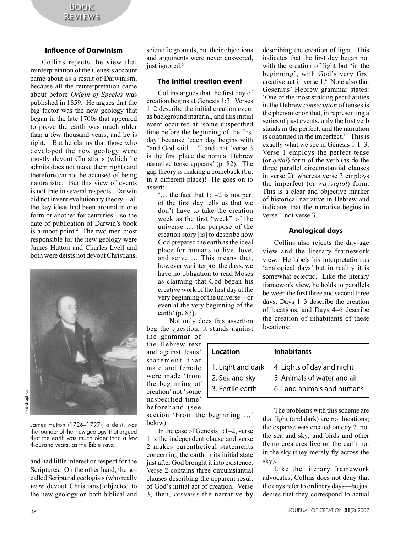#### **Influence of Darwinism**

Collins rejects the view that reinterpretation of the Genesis account came about as a result of Darwinism, because all the reinterpretation came about before *Origin of Species* was published in 1859. He argues that the big factor was the new geology that began in the late 1700s that appeared to prove the earth was much older than a few thousand years, and he is right.3 But he claims that those who developed the new geology were mostly devout Christians (which he admits does not make them right) and therefore cannot be accused of being naturalistic. But this view of events is not true in several respects. Darwin did not invent evolutionary theory—all the key ideas had been around in one form or another for centuries—so the date of publication of Darwin's book is a moot point.<sup>4</sup> The two men most responsible for the new geology were James Hutton and Charles Lyell and both were deists not devout Christians,



James Hutton (1726–1797), a deist, was the founder of the 'new geology' that argued that the earth was much older than a few thousand years, as the Bible says.

and had little interest or respect for the Scriptures. On the other hand, the socalled Scriptural geologists (who really *were* devout Christians) objected to the new geology on both biblical and

scientific grounds, but their objections and arguments were never answered, just ignored $<sup>5</sup>$ </sup>

#### **The initial creation event**

Collins argues that the first day of creation begins at Genesis 1:3. Verses 1–2 describe the initial creation event as background material, and this initial event occurred at 'some unspecified time before the beginning of the first day' because 'each day begins with "and God said …"' and that 'verse 3 is the first place the normal Hebrew narrative tense appears' (p. 82). The gap theory is making a comeback (but in a different place)! He goes on to assert:

'… the fact that 1:1–2 is not part of the first day tells us that we don't have to take the creation week as the first "week" of the universe … the purpose of the creation story [is] to describe how God prepared the earth as the ideal place for humans to live, love, and serve … This means that, however we interpret the days, we have no obligation to read Moses as claiming that God began his creative work of the first day at the very beginning of the universe—or even at the very beginning of the earth' (p. 83).

Not only does this assertion beg the question, it stands against

the grammar of the Hebrew text and against Jesus' statement that male and female were made 'from the beginning of creation' not 'some unspecified time' beforehand (see

| Location                                                | Inhabitants                                                                             |
|---------------------------------------------------------|-----------------------------------------------------------------------------------------|
| 1. Light and dark<br>2. Sea and sky<br>3. Fertile earth | 4. Lights of day and night<br>5. Animals of water and air<br>6. Land animals and humans |

section 'From the beginning …' below).

In the case of Genesis 1:1–2, verse 1 is the independent clause and verse 2 makes parenthetical statements concerning the earth in its initial state just after God brought it into existence. Verse 2 contains three circumstantial clauses describing the apparent result of God's initial act of creation. Verse 3, then, *resumes* the narrative by

describing the creation of light. This indicates that the first day began not with the creation of light but 'in the beginning', with God's very first creative act in verse 1.6 Note also that Gesenius' Hebrew grammar states: 'One of the most striking peculiarities in the Hebrew *consecution* of tenses is the phenomenon that, in representing a series of past events, only the first verb stands in the perfect, and the narration is continued in the imperfect.'7 This is exactly what we see in Genesis 1:1–3. Verse 1 employs the perfect tense (or *qatal*) form of the verb (as do the three parallel circumstantial clauses in verse 2), whereas verse 3 employs the imperfect (or *wayyiqtol*) form. This is a clear and objective marker of historical narrative in Hebrew and indicates that the narrative begins in verse 1 not verse 3.

#### **Analogical days**

Collins also rejects the day-age view and the literary framework view. He labels his interpretation as 'analogical days' but in reality it is somewhat eclectic. Like the literary framework view, he holds to parallels between the first three and second three days: Days 1–3 describe the creation of locations, and Days 4–6 describe the creation of inhabitants of these locations:

The problems with this scheme are that light (and dark) are not locations; the expanse was created on day 2, not the sea and sky; and birds and other flying creatures live on the earth not in the sky (they merely fly across the sky).

Like the literary framework advocates, Collins does not deny that the days refer to ordinary days—he just denies that they correspond to actual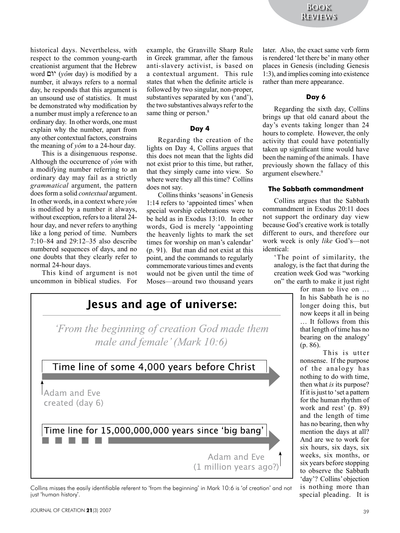historical days. Nevertheless, with respect to the common young-earth creationist argument that the Hebrew word יום (*yôm* day) is modified by a number, it always refers to a normal day, he responds that this argument is an unsound use of statistics. It must be demonstrated why modification by a number must imply a reference to an ordinary day. In other words, one must explain why the number, apart from any other contextual factors, constrains the meaning of *yôm* to a 24-hour day.

This is a disingenuous response. Although the occurrence of *yôm* with a modifying number referring to an ordinary day may fail as a strictly *grammatical* argument, the pattern does form a solid *contextual* argument. In other words, in a context where *yôm* is modified by a number it always, without exception, refers to a literal 24 hour day, and never refers to anything like a long period of time. Numbers 7:10–84 and 29:12–35 also describe numbered sequences of days, and no one doubts that they clearly refer to normal 24-hour days.

This kind of argument is not uncommon in biblical studies. For

example, the Granville Sharp Rule in Greek grammar, after the famous anti-slavery activist, is based on a contextual argument. This rule states that when the definite article is followed by two singular, non-proper, substantives separated by και ('and'), the two substantives always refer to the same thing or person.<sup>8</sup>

## **Day 4**

Regarding the creation of the lights on Day 4, Collins argues that this does not mean that the lights did not exist prior to this time, but rather, that they simply came into view. So where were they all this time? Collins does not say.

Collins thinks 'seasons' in Genesis 1:14 refers to 'appointed times' when special worship celebrations were to be held as in Exodus 13:10. In other words, God is merely 'appointing the heavenly lights to mark the set times for worship on man's calendar' (p. 91). But man did not exist at this point, and the commands to regularly commemorate various times and events would not be given until the time of Moses—around two thousand years



Collins misses the easily identifiable referent to 'from the beginning' in Mark 10:6 is 'of creation' and not just 'human history'.

later. Also, the exact same verb form is rendered 'let there be' in many other places in Genesis (including Genesis 1:3), and implies coming into existence rather than mere appearance.

#### **Day 6**

Regarding the sixth day, Collins brings up that old canard about the day's events taking longer than 24 hours to complete. However, the only activity that could have potentially taken up significant time would have been the naming of the animals. I have previously shown the fallacy of this argument elsewhere.<sup>9</sup>

#### **The Sabbath commandment**

Collins argues that the Sabbath commandment in Exodus 20:11 does not support the ordinary day view because God's creative work is totally different to ours, and therefore our work week is only *like* God's—not identical:

> 'The point of similarity, the analogy, is the fact that during the creation week God was "working on" the earth to make it just right

> > for man to live on … In his Sabbath he is no longer doing this, but now keeps it all in being … It follows from this that length of time has no bearing on the analogy' (p. 86).

> > This is utter nonsense. If the purpose of the analogy has nothing to do with time, then what *is* its purpose? If it is just to 'set a pattern for the human rhythm of work and rest' (p. 89) and the length of time has no bearing, then why mention the days at all? And are we to work for six hours, six days, six weeks, six months, or six years before stopping to observe the Sabbath 'day'? Collins' objection is nothing more than special pleading. It is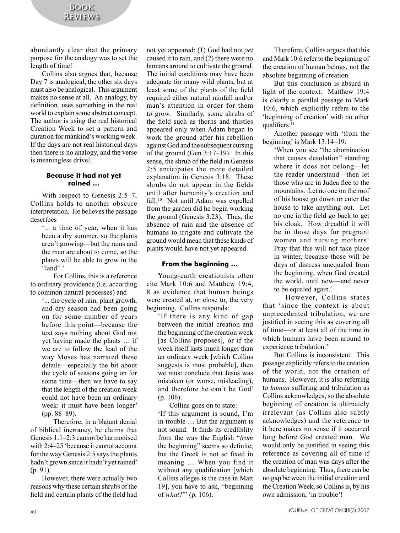abundantly clear that the primary purpose for the analogy was to set the length of time!

Collins also argues that, because Day 7 is analogical, the other six days must also be analogical. This argument makes no sense at all. An analogy, by definition, uses something in the real world to explain some abstract concept. The author is using the real historical Creation Week to set a pattern and duration for mankind's working week. If the days are not real historical days then there is no analogy, and the verse is meaningless drivel.

#### **Because it had not yet rained …**

With respect to Genesis 2:5–7. Collins holds to another obscure interpretation. He believes the passage describes

'... a time of year, when it has been a dry summer, so the plants aren't growing—but the rains and the man are about to come, so the plants will be able to grow in the  $\lceil$ and".'

For Collins, this is a reference to ordinary providence (i.e. according to common natural processes) and

'... the cycle of rain, plant growth, and dry season had been going on for some number of years before this point—because the text says nothing about God not yet having made the plants … if we are to follow the lead of the way Moses has narrated these details—especially the bit about the cycle of seasons going on for some time—then we have to say that the length of the creation week could not have been an ordinary week: it must have been longer' (pp. 88–89).

Therefore, in a blatant denial of biblical inerrancy, he claims that Genesis 1:1–2:3 cannot be harmonised with 2:4–25 'because it cannot account for the way Genesis 2:5 says the plants hadn't grown since it hadn't yet rained' (p. 91).

However, there were actually two reasons why these certain shrubs of the field and certain plants of the field had not yet appeared: (1) God had not *yet* caused it to rain, and (2) there were no humans around to cultivate the ground. The initial conditions may have been adequate for many wild plants, but at least some of the plants of the field required either natural rainfall and/or man's attention in order for them to grow. Similarly, some shrubs of the field such as thorns and thistles appeared only when Adam began to work the ground after his rebellion against God and the subsequent cursing of the ground (Gen 3:17–19). In this sense, the shrub of the field in Genesis 2:5 anticipates the more detailed explanation in Genesis 3:18. These shrubs do not appear in the fields until after humanity's creation and fall.10 Not until Adam was expelled from the garden did he begin working the ground (Genesis 3:23). Thus, the absence of rain and the absence of humans to irrigate and cultivate the ground would mean that these kinds of plants would have not yet appeared.

#### **From the beginning …**

Young-earth creationists often cite Mark 10:6 and Matthew 19:4, 8 as evidence that human beings were created at, or close to, the very beginning. Collins responds:

'If there is any kind of gap between the initial creation and the beginning of the creation week [as Collins proposes], or if the week itself lasts much longer than an ordinary week [which Collins suggests is most probable], then we must conclude that Jesus was mistaken (or worse, misleading), and therefore he can't be God' (p. 106).

Collins goes on to state:

'If this argument is sound, I'm in trouble … But the argument is not sound. It finds its credibility from the way the English "*from* the beginning" seems so definite; but the Greek is not so fixed in meaning … When you find it without any qualification [which] Collins alleges is the case in Matt 19], you have to ask, "beginning of *what*?"' (p. 106).

Therefore, Collins argues that this and Mark 10:6 refer to the beginning of the creation of human beings, not the absolute beginning of creation.

But this conclusion is absurd in light of the context. Matthew 19:4 is clearly a parallel passage to Mark 10:6, which explicitly refers to the 'beginning of creation' with no other qualifiers.<sup>11</sup>

Another passage with 'from the beginning' is Mark 13:14–19:

> 'When you see "the abomination that causes desolation" standing where it does not belong—let the reader understand—then let those who are in Judea flee to the mountains. Let no one on the roof of his house go down or enter the house to take anything out. Let no one in the field go back to get his cloak. How dreadful it will be in those days for pregnant women and nursing mothers! Pray that this will not take place in winter, because those will be days of distress unequaled from the beginning, when God created the world, until now—and never to be equaled again.'

However, Collins states that 'since the context is about unprecedented tribulation, we are justified in seeing this as covering all of time—or at least all of the time in which humans have been around to experience tribulation.'

But Collins is inconsistent. This passage explicitly refers to the creation of the world, not the creation of humans. However, it is also referring to *human* suffering and tribulation as Collins acknowledges, so the absolute beginning of creation is ultimately irrelevant (as Collins also subtly acknowledges) and the reference to it here makes no sense if it occurred long before God created man. We would only be justified in seeing this reference as covering all of time if the creation of man was days after the absolute beginning. Thus, there can be no gap between the initial creation and the Creation Week, so Collins is, by his own admission, 'in trouble'!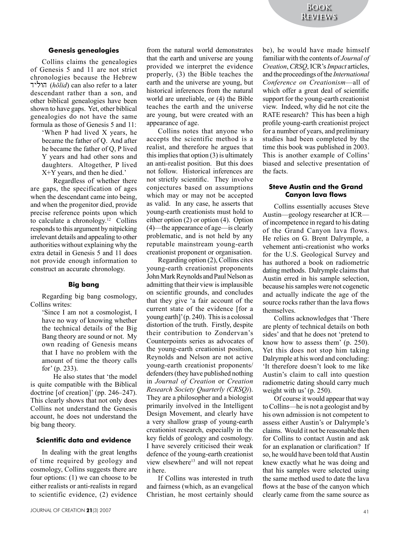#### **Genesis genealogies**

Collins claims the genealogies of Genesis 5 and 11 are not strict chronologies because the Hebrew dylwh (*hōlid*) can also refer to a later descendant rather than a son, and other biblical genealogies have been shown to have gaps. Yet, other biblical genealogies do not have the same formula as those of Genesis 5 and 11:

'When P had lived X years, he became the father of Q. And after he became the father of Q, P lived Y years and had other sons and daughters. Altogether, P lived X+Y years, and then he died.'

Regardless of whether there are gaps, the specification of ages when the descendant came into being, and when the progenitor died, provide precise reference points upon which to calculate a chronology.12 Collins responds to this argument by nitpicking irrelevant details and appealing to other authorities without explaining why the extra detail in Genesis 5 and 11 does not provide enough information to construct an accurate chronology.

## **Big bang**

Regarding big bang cosmology, Collins writes:

'Since I am not a cosmologist, I have no way of knowing whether the technical details of the Big Bang theory are sound or not. My own reading of Genesis means that I have no problem with the amount of time the theory calls for' (p. 233).

He also states that 'the model is quite compatible with the Biblical doctrine [of creation]' (pp. 246–247). This clearly shows that not only does Collins not understand the Genesis account, he does not understand the big bang theory.

#### **Scientific data and evidence**

In dealing with the great lengths of time required by geology and cosmology, Collins suggests there are four options: (1) we can choose to be either realists or anti-realists in regard to scientific evidence, (2) evidence

from the natural world demonstrates that the earth and universe are young provided we interpret the evidence properly, (3) the Bible teaches the earth and the universe are young, but historical inferences from the natural world are unreliable, or (4) the Bible teaches the earth and the universe are young, but were created with an appearance of age.

Collins notes that anyone who accepts the scientific method is a realist, and therefore he argues that this implies that option (3) is ultimately an anti-realist position. But this does not follow. Historical inferences are not strictly scientific. They involve conjectures based on assumptions which may or may not be accepted as valid. In any case, he asserts that young-earth creationists must hold to either option (2) or option (4). Option (4)—the appearance of age—is clearly problematic, and is not held by any reputable mainstream young-earth creationist proponent or organisation.

Regarding option (2), Collins cites young-earth creationist proponents John Mark Reynolds and Paul Nelson as admitting that their view is implausible on scientific grounds, and concludes that they give 'a fair account of the current state of the evidence [for a young earth]' (p. 240). This is a colossal distortion of the truth. Firstly, despite their contribution to Zondervan's Counterpoints series as advocates of the young-earth creationist position, Reynolds and Nelson are not active young-earth creationist proponents/ defenders (they have published nothing in *Journal of Creation* or *Creation Research Society Quarterly (CRSQ)*). They are a philosopher and a biologist primarily involved in the Intelligent Design Movement, and clearly have a very shallow grasp of young-earth creationist research, especially in the key fields of geology and cosmology. I have severely criticised their weak defence of the young-earth creationist view elsewhere<sup>13</sup> and will not repeat it here.

If Collins was interested in truth and fairness (which, as an evangelical Christian, he most certainly should be), he would have made himself familiar with the contents of *Journal of Creation*, *CRSQ*, ICR's *Impact* articles, and the proceedings of the *International Conference on Creationism*—all of which offer a great deal of scientific support for the young-earth creationist view. Indeed, why did he not cite the RATE research? This has been a high profile young-earth creationist project for a number of years, and preliminary studies had been completed by the time this book was published in 2003. This is another example of Collins' biased and selective presentation of the facts.

#### **Steve Austin and the Grand Canyon lava flows**

Collins essentially accuses Steve Austin—geology researcher at ICR of incompetence in regard to his dating of the Grand Canyon lava flows. He relies on G. Brent Dalrymple, a vehement anti-creationist who works for the U.S. Geological Survey and has authored a book on radiometric dating methods. Dalrymple claims that Austin erred in his sample selection, because his samples were not cogenetic and actually indicate the age of the source rocks rather than the lava flows themselves.

Collins acknowledges that 'There are plenty of technical details on both sides' and that he does not 'pretend to know how to assess them' (p. 250). Yet this does not stop him taking Dalrymple at his word and concluding: 'It therefore doesn't look to me like Austin's claim to call into question radiometric dating should carry much weight with us' (p. 250).

Of course it would appear that way to Collins—he is not a geologist and by his own admission is not competent to assess either Austin's or Dalrymple's claims. Would it not be reasonable then for Collins to contact Austin and ask for an explanation or clarification? If so, he would have been told that Austin knew exactly what he was doing and that his samples were selected using the same method used to date the lava flows at the base of the canyon which clearly came from the same source as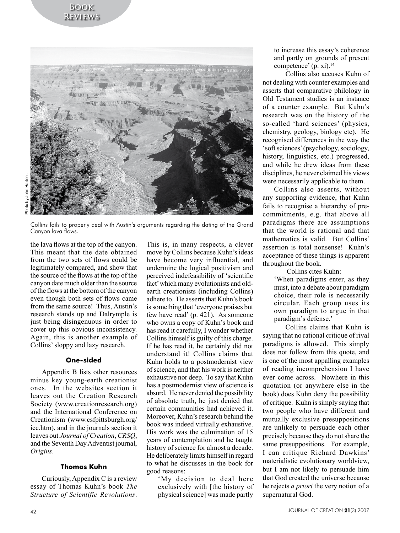

Collins fails to properly deal with Austin's arguments regarding the dating of the Grand Canyon lava flows.

the lava flows at the top of the canyon. This meant that the date obtained from the two sets of flows could be legitimately compared, and show that the source of the flows at the top of the canyon date much older than the source of the flows at the bottom of the canyon even though both sets of flows came from the same source! Thus, Austin's research stands up and Dalrymple is just being disingenuous in order to cover up this obvious inconsistency. Again, this is another example of Collins' sloppy and lazy research.

#### **One-sided**

Appendix B lists other resources minus key young-earth creationist ones. In the websites section it leaves out the Creation Research Society (www.creationresearch.org) and the International Conference on Creationism (www.csfpittsburgh.org/ icc.htm), and in the journals section it leaves out *Journal of Creation*, *CRSQ*, and the Seventh Day Adventist journal, *Origins*.

## **Thomas Kuhn**

Curiously, Appendix C is a review essay of Thomas Kuhn's book *The Structure of Scientific Revolutions*.

This is, in many respects, a clever move by Collins because Kuhn's ideas have become very influential, and undermine the logical positivism and perceived indefeasibility of 'scientific fact' which many evolutionists and oldearth creationists (including Collins) adhere to. He asserts that Kuhn's book is something that 'everyone praises but few have read' (p. 421). As someone who owns a copy of Kuhn's book and has read it carefully, I wonder whether Collins himself is guilty of this charge. If he has read it, he certainly did not understand it! Collins claims that Kuhn holds to a postmodernist view of science, and that his work is neither exhaustive nor deep. To say that Kuhn has a postmodernist view of science is absurd. He never denied the possibility of absolute truth, he just denied that certain communities had achieved it. Moreover, Kuhn's research behind the book was indeed virtually exhaustive. His work was the culmination of 15 years of contemplation and he taught history of science for almost a decade. He deliberately limits himself in regard to what he discusses in the book for good reasons:

'My decision to deal here exclusively with [the history of physical science] was made partly

to increase this essay's coherence and partly on grounds of present competence' (p. xi). $^{14}$ 

Collins also accuses Kuhn of not dealing with counter examples and asserts that comparative philology in Old Testament studies is an instance of a counter example. But Kuhn's research was on the history of the so-called 'hard sciences' (physics, chemistry, geology, biology etc). He recognised differences in the way the 'soft sciences' (psychology, sociology, history, linguistics, etc.) progressed, and while he drew ideas from these disciplines, he never claimed his views were necessarily applicable to them.

Collins also asserts, without any supporting evidence, that Kuhn fails to recognise a hierarchy of precommitments, e.g. that above all paradigms there are assumptions that the world is rational and that mathematics is valid. But Collins' assertion is total nonsense! Kuhn's acceptance of these things is apparent throughout the book.

Collins cites Kuhn:

'When paradigms enter, as they must, into a debate about paradigm choice, their role is necessarily circular. Each group uses its own paradigm to argue in that paradigm's defense.'

Collins claims that Kuhn is saying that no rational critique of rival paradigms is allowed. This simply does not follow from this quote, and is one of the most appalling examples of reading incomprehension I have ever come across. Nowhere in this quotation (or anywhere else in the book) does Kuhn deny the possibility of critique. Kuhn is simply saying that two people who have different and mutually exclusive presuppositions are unlikely to persuade each other precisely because they do not share the same presuppositions. For example, I can critique Richard Dawkins' materialistic evolutionary worldview, but I am not likely to persuade him that God created the universe because he rejects *a priori* the very notion of a supernatural God.